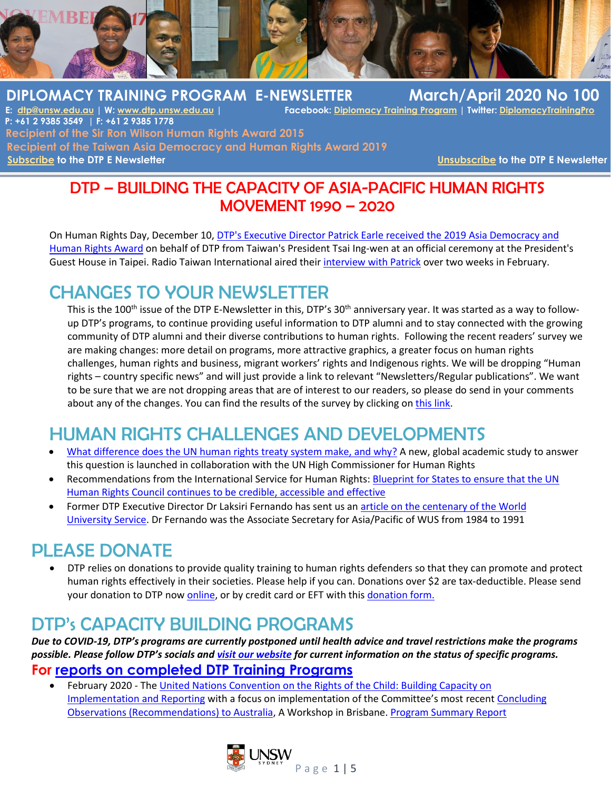

## **DIPLOMACY TRAINING PROGRAM E-NEWSLETTER March/April 2020 No 100**

**Facebook: Diplomacy Training Program | Twitter: DiplomacyTraining Program P: +61 2 9385 3549 | F: +61 2 9385 1778 Recipient of the Sir Ron Wilson Human Rights Award 2015 Recipient of the Taiwan Asia Democracy and Human Rights Award 2019 [Subscribe](http://www.dtp.unsw.edu.au/contact-us) to the DTP E Newsletter [Unsubscribe](http://www.dtp.unsw.edu.au/contact-us) to the DTP E Newsletter** 

## DTP – BUILDING THE CAPACITY OF ASIA-PACIFIC HUMAN RIGHTS MOVEMENT 1990 – 2020

On Human Rights Day, December 10, [DTP's Executive Director Patrick Earle received the 2019 Asia Democracy and](http://www.dtp.unsw.edu.au/2019-asia-democracy-and-human-rights-award)  [Human Rights Award](http://www.dtp.unsw.edu.au/2019-asia-democracy-and-human-rights-award) on behalf of DTP from Taiwan's President Tsai Ing-wen at an official ceremony at the President's Guest House in Taipei. Radio Taiwan International aired their [interview with Patrick](https://en.rti.org.tw/radio/programMessageView/id/102494) over two weeks in February.

## CHANGES TO YOUR NEWSLETTER

This is the 100<sup>th</sup> issue of the DTP E-Newsletter in this, DTP's 30<sup>th</sup> anniversary year. It was started as a way to followup DTP's programs, to continue providing useful information to DTP alumni and to stay connected with the growing community of DTP alumni and their diverse contributions to human rights. Following the recent readers' survey we are making changes: more detail on programs, more attractive graphics, a greater focus on human rights challenges, human rights and business, migrant workers' rights and Indigenous rights. We will be dropping "Human rights – country specific news" and will just provide a link to relevant "Newsletters/Regular publications". We want to be sure that we are not dropping areas that are of interest to our readers, so please do send in your comments about any of the changes. You can find the results of the survey by clicking o[n this link.](http://www.dtp.unsw.edu.au/sites/default/files/u4/2019%20enewsletter%20survey%20report.pdf)

# HUMAN RIGHTS CHALLENGES AND DEVELOPMENTS

- What difference does [the UN human rights treaty system make, and why?](https://www.ishr.ch/news/treaty-bodies-what-difference-does-un-human-rights-treaty-system-make-and-why) A new, global academic study to answer this question is launched in collaboration with the UN High Commissioner for Human Rights
- Recommendations from the International Service for Human Rights[: Blueprint for States to ensure that the UN](https://www.ishr.ch/news/hrc2020-blueprint-states-ensure-un-human-rights-council-continues-be-credible-accessible-and)  [Human Rights Council continues to be credible,](https://www.ishr.ch/news/hrc2020-blueprint-states-ensure-un-human-rights-council-continues-be-credible-accessible-and) accessible and effective
- Former DTP Executive Director Dr Laksiri Fernando has sent us a[n article on the centenary of the World](http://www.dtp.unsw.edu.au/sites/default/files/u4/WUS%20Conference%20%28Short%29%20Article.pdf)  [University Service.](http://www.dtp.unsw.edu.au/sites/default/files/u4/WUS%20Conference%20%28Short%29%20Article.pdf) Dr Fernando was the Associate Secretary for Asia/Pacific of WUS from 1984 to 1991

## PLEASE DONATE

• DTP relies on donations to provide quality training to human rights defenders so that they can promote and protect human rights effectively in their societies. Please help if you can. Donations over \$2 are tax-deductible. Please send your donation to DTP no[w online,](https://www.bpoint.com.au/payments/diplomacytraining) or by credit card or EFT with this [donation form.](http://www.dtp.unsw.edu.au/sites/default/files/u4/Donation_Form_0.doc)

## DTP's CAPACITY BUILDING PROGRAMS

*Due to COVID-19, DTP's programs are currently postponed until health advice and travel restrictions make the programs possible. Please follow DTP's socials an[d visit our website](https://www.dtp.unsw.edu.au/) for current information on the status of specific programs.*

### **For [reports on completed DTP Training](http://dtp.unsw.edu.au/dtp-training-program-reports) Programs**

• February 2020 - Th[e United Nations Convention](http://www.dtp.unsw.edu.au/rights-child) on the Rights of the Child: Building Capacity on [Implementation and Reporting](http://www.dtp.unsw.edu.au/rights-child) with a focus on implementation of the Committee's most recent [Concluding](https://tbinternet.ohchr.org/_layouts/15/treatybodyexternal/Download.aspx?symbolno=CRC/C/AUS/CO/5-6&Lang=En)  Observations [\(Recommendations\) to Australia,](https://tbinternet.ohchr.org/_layouts/15/treatybodyexternal/Download.aspx?symbolno=CRC/C/AUS/CO/5-6&Lang=En) A Workshop in Brisbane. [Program Summary Report](https://www.dtp.unsw.edu.au/sites/default/files/u4/20.%20CRC%20Australia.%20Report%20Summary.pdf)

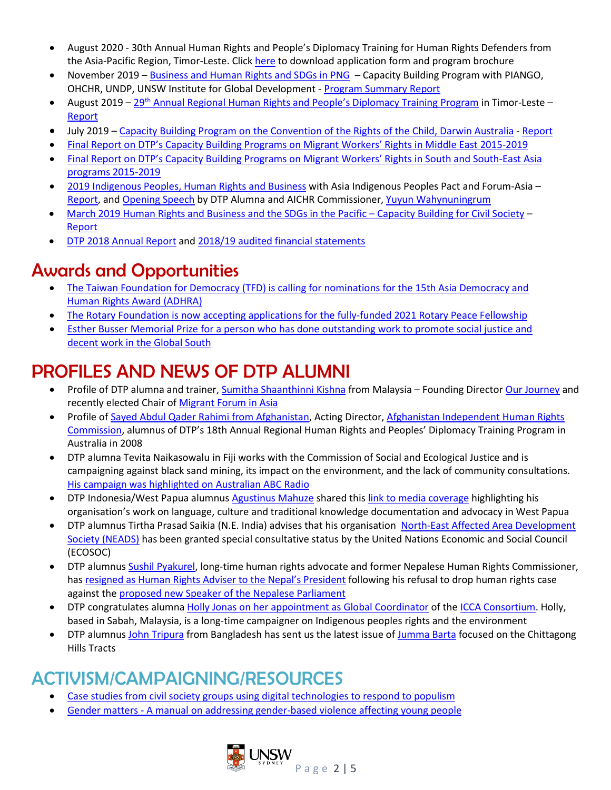- August 2020 30th Annual Human Rights and People's Diplomacy Training for Human Rights Defenders from the Asia-Pacific Region, Timor-Leste. Clic[k here](http://www.dtp.unsw.edu.au/30th-annual-program-2020-timor-leste) to download application form and program brochure
- November 2019 [Business and Human Rights and SDGs in PNG](http://www.dtp.unsw.edu.au/business-human-rights-and-sustainable-development-goals-sdgs-png-november-2019) Capacity Building Program with PIANGO, OHCHR, UNDP, UNSW Institute for Global Development - [Program Summary Report](http://www.dtp.unsw.edu.au/sites/default/files/u4/19.%20BHR.%20PNG.%20Summary%20Report.Short_.Final__1.pdf)
- **•** August 2019 29<sup>th</sup> Annual Regional Human Rights and People'[s Diplomacy Training](http://www.dtp.unsw.edu.au/29th-annual-program-2019-timor-leste) Program in Timor-Leste [Report](http://www.dtp.unsw.edu.au/sites/default/files/u4/19.%2029th%20Annual.%20Timor-Leste.%20Report.%20v02.pdf)
- July 2019 Capacity Building Program [on the Convention of the Rights of the Child, Darwin Australia](http://dtp.unsw.edu.au/rights-child) [Report](http://www.dtp.unsw.edu.au/sites/default/files/u4/19.%20CRC%20Australia.%20Workshop%20Report.pdf)
- Final Report on DTP's [Capacity Building Programs on Migrant](http://www.dtp.unsw.edu.au/sites/default/files/u4/DTP.MW_.MENA_.Final%20Operational%20Report.web_.pdf) Workers' Rights in Middle East 2015-2019
- Final Report on DTP's [Capacity Building Programs on Migrant](http://www.dtp.unsw.edu.au/sites/default/files/u4/15.19.%20DTP%27s%20MW.Capacity%20Building.Asia_.2015-19.Final%20Operational%20Report.v01.pdf) Workers' Rights in South and South-East Asia [programs 2015-2019](http://www.dtp.unsw.edu.au/sites/default/files/u4/15.19.%20DTP%27s%20MW.Capacity%20Building.Asia_.2015-19.Final%20Operational%20Report.v01.pdf)
- [2019 Indigenous Peoples, Human](http://www.dtp.unsw.edu.au/2019-indigenous-peoples-human-rights-and-business) Rights and Business with Asia Indigenous Peoples Pact and Forum-Asia [Report,](http://www.dtp.unsw.edu.au/sites/default/files/u4/19.%20IPHRB.%20Thailand.%20Report.%20Final.pdf) an[d Opening Speech](http://www.dtp.unsw.edu.au/sites/default/files/u4/Keynote%20Speech-DTP%2008.02.2019.pdf) by DTP Alumna and AICHR Commissioner, Yuyun [Wahynuningrum](http://dtp.unsw.edu.au/yuyun-wahyuningrum)
- March [2019 Human Rights and Business and the SDGs](http://dtp.unsw.edu.au/business-human-rights-and-sdgs-pacific-fiji-2019) in the Pacific Capacity Building for Civil Society [Report](http://dtp.unsw.edu.au/sites/default/files/u4/19.%20HRB.%20Pacific.%20Fiji.%20Report.%20Final.pdf)
- [DTP 2018 Annual](http://www.dtp.unsw.edu.au/sites/default/files/u4/DTP%20annual%20report%202018-WEB.pdf) Report and 2018/19 [audited financial statements](http://www.dtp.unsw.edu.au/sites/default/files/publications/Financial%20Accounts%202019%20-%20DTP%20signed.pdf)

## Awards and Opportunities

- The Taiwan Foundation for Democracy (TFD) is calling for nominations for the 15th Asia Democracy and [Human Rights Award \(ADHRA\)](http://www.tfd.org.tw/opencms/english/events/data/Event0824.html)
- The Rotary Foundation is now accepting applications for the [fully-funded 2021 Rotary Peace Fellowship](https://www.rotary.org/en/our-programs/peace-fellowships)
- Esther Busser Memorial Prize for a person [who has done outstanding work to promote social justice and](https://www.itfseafarers.org/en/news/esther-busser-memorial-prize)  [decent work in the Global](https://www.itfseafarers.org/en/news/esther-busser-memorial-prize) South

## PROFILES AND NEWS OF DTP ALUMNI

- Profile of DTP alumna and trainer, [Sumitha Shaanthinni Kishna](http://www.dtp.unsw.edu.au/sumitha-shaanthinni-kishna) from Malaysia Founding Directo[r Our Journey](https://www.facebook.com/ourjourneymy/) and recently elected Chair o[f Migrant Forum in Asia](https://mfasia.org/)
- Profile of [Sayed Abdul Qader Rahimi from Afghanistan,](http://www.dtp.unsw.edu.au/sayed-abdul-qader-rahimi) Acting Director, Afghanistan Independent Human Rights [Commission,](https://www.aihrc.org.af/) alumnus of DTP's 18th Annual Regional Human Rights and Peoples' Diplomacy Training Program in Australia in 2008
- DTP alumna Tevita Naikasowalu in Fiji works with the Commission of Social and Ecological Justice and is campaigning against black sand mining, its impact on the environment, and the lack of community consultations. His campaign was [highlighted on Australian ABC Radio](https://www.abc.net.au/radio-australia/programs/pacificbeat/fijis-black-sand-mining-project-draws-international-scrutiny/11865334)
- DTP Indonesia/West Papua alumnus [Agustinus Mahuze](http://dtp.unsw.edu.au/agustinus-mahuze) shared this link [to media coverage](https://drive.google.com/file/d/1md-TLhIv8AB0GLY9AnILR-vEAZXrouvh/view?ts=5e38dadf) highlighting his organisation's work on language, culture and traditional knowledge documentation and advocacy in West Papua
- DTP alumnus Tirtha Prasad Saikia (N.E. India) advises that his organisation [North-East Affected Area Development](https://www.facebook.com/pages/category/Non-Governmental-Organization--NGO-/North-East-Affected-Area-Development-Society-NEADS-781957948551369/)  [Society \(NEADS\)](https://www.facebook.com/pages/category/Non-Governmental-Organization--NGO-/North-East-Affected-Area-Development-Society-NEADS-781957948551369/) has been granted special consultative status by the United Nations Economic and Social Council (ECOSOC)
- DTP alumnu[s Sushil Pyakurel,](https://www.dtp.unsw.edu.au/sushil-pyakurel) long-time human rights advocate and former Nepalese Human Rights Commissioner, has resigned as Human Rights Adviser to the [Nepal's President](https://www.dtp.unsw.edu.au/sites/default/files/u4/Sushil%20Pyakurel%20resign%20from%20the%20post%20of%20Advisor%20to%20the%20President_Press%20Statement%2024%20Jan%202020.pdf) following his refusal to drop human rights case against the proposed [new Speaker of the Nepalese Parliament](https://kathmandupost.com/politics/2020/01/24/president-s-adviser-sushil-pyakuryal-resigns)
- DTP congratulates alumna Holly Jonas on [her appointment as Global Coordinator](https://www.iccaconsortium.org/index.php/people/holly-jonas/) of the [ICCA Consortium.](https://www.iccaconsortium.org/) Holly, based in Sabah, Malaysia, is a long-time campaigner on Indigenous peoples rights and the environment
- DTP alumnu[s John Tripura](http://dtp.unsw.edu.au/john-tripura) from Bangladesh has sent us the latest issue of [Jumma Barta](https://www.facebook.com/JummaBarta/) focused on the Chittagong Hills Tracts

# ACTIVISM/CAMPAIGNING/RESOURCES

- [Case studies from civil society groups using digital technologies to respond to populism](https://icscentre.org/innovationreport/)
- Gender matters [A manual on addressing gender-based violence affecting](https://book.coe.int/fr/jeunesse-autres-publications/8100-gender-matters-a-manual-on-addressing-gender-based-violence-affecting-young-people-2nd-ed.html) young people

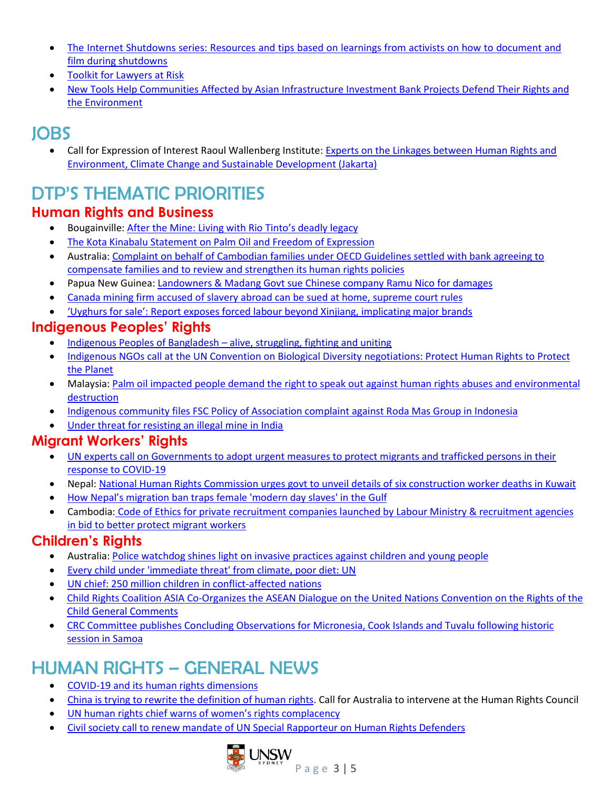- The Internet Shutdowns series: Resources and tips based [on learnings from activists on how to document and](https://blog.witness.org/2020/02/documenting-during-internet-shutdowns/) [film during shutdowns](https://blog.witness.org/2020/02/documenting-during-internet-shutdowns/)
- [Toolkit for Lawyers at Risk](https://www.ibanet.org/Human_Rights_Institute/Toolkit-on-Lawyers-at-Risk-project.aspx)
- [New Tools Help Communities Affected by Asian Infrastructure](https://www.inclusivedevelopment.net/new-tools-help-communities-affected-by-aiib-projects-defend-their-rights-and-the-environment/?fbclid=IwAR194Rd4E_-NrgWXS4xq27vQ5tRRaxUa0E2OWtiF5WKbiGAk3nBqnuz5ids) Investment Bank Projects Defend Their Rights and [the Environment](https://www.inclusivedevelopment.net/new-tools-help-communities-affected-by-aiib-projects-defend-their-rights-and-the-environment/?fbclid=IwAR194Rd4E_-NrgWXS4xq27vQ5tRRaxUa0E2OWtiF5WKbiGAk3nBqnuz5ids)

## JOBS

• Call for Expression of Interest Raoul Wallenberg Institute: Experts on the Linkages [between Human Rights and](https://rwi.lu.se/about/opportunities/vacancies/)  [Environment, Climate Change and Sustainable Development \(Jakarta\)](https://rwi.lu.se/about/opportunities/vacancies/)

# DTP'S THEMATIC PRIORITIES

### **Human Rights and Business**

- Bougainville: [After the Mine: Living with Rio Tinto](https://www.hrlc.org.au/rio-tinto-deadly-legacy)'s deadly legacy
- [The Kota Kinabalu Statement on Palm Oil and Freedom of Expression](https://pusaka.or.id/2020/02/the-kota-kinabalu-statement-demand-freedom-of-expression/)
- Australia: [Complaint on behalf of Cambodian families](https://ausncp.gov.au/sites/default/files/2020-02/Complaint_11_statement.pdf) under OECD Guidelines settled with bank agreeing to [compensate families and to review and strengthen its human rights policies](https://ausncp.gov.au/sites/default/files/2020-02/Complaint_11_statement.pdf)
- Papua New Guinea: [Landowners & Madang Govt sue Chinese company Ramu](https://www.business-humanrights.org/fr/node/203321) Nico for damages
- [Canada mining firm accused of slavery abroad can be sued at home, supreme court rules](https://www.theguardian.com/world/2020/feb/28/canada-nevsun-eritrea-lawsuit-human-rights-slavery)
- 'Uyghurs for sale': Report expose[s forced labour beyond Xinjiang, implicating major brands](https://thenewdaily.com.au/news/world/2020/03/01/uyghurs-forced-labour-aspi/?utm_source=Adestra&utm_medium=email&utm_campaign=Morning%20News%20-%2020200302)

## **Indigenous Peoples' Rights**

- [Indigenous Peoples of Bangladesh](https://www.iwgia.org/en/bangladesh/3540-indigenous-peoples-of-bangladesh-alive-struggling-fighting-uniting.html)  alive, struggling, fighting and uniting
- Indigenous NGOs call at the UN Convention on Biological Diversity [negotiations: Protect Human Rights to Protect](https://www.forestpeoples.org/en/rights-based-conservation-convention-biological-diversity-cbd-un-human-rights-system/press-release)  [the Planet](https://www.forestpeoples.org/en/rights-based-conservation-convention-biological-diversity-cbd-un-human-rights-system/press-release)
- Malaysia[: Palm oil impacted people demand the right to speak out against human rights abuses and environmental](https://www.forestpeoples.org/en/global-finance-trade-private-sector-palm-oil-rspo/news-article/2020/palm-oil-impacted-people-demand)  [destruction](https://www.forestpeoples.org/en/global-finance-trade-private-sector-palm-oil-rspo/news-article/2020/palm-oil-impacted-people-demand)
- Indigenous community [files FSC Policy of Association complaint against Roda Mas Group in Indonesia](https://www.forestpeoples.org/index.php/en/indonesia-long-isun-files-FSC-complaint-against-roda-mas)
- Under threat [for resisting an illegal mine in India](https://www.iwgia.org/en/india/3522-under-threat-for-resisting-an-illegal-mine-in-india.html)

### **Migrant Workers' Rights**

- [UN experts call on Governments to adopt urgent measures to protect migrants and trafficked persons in their](https://www.ohchr.org/en/NewsEvents/Pages/DisplayNews.aspx?NewsID=25774&LangID=E)  [response to COVID-19](https://www.ohchr.org/en/NewsEvents/Pages/DisplayNews.aspx?NewsID=25774&LangID=E)
- Nepal: [National Human Rights Commission urges govt to unveil details of six construction worker deaths in Kuwait](https://www.business-humanrights.org/en/nepal-human-rights-commission-urges-govt-to-unveil-details-of-six-construction-worker-deaths-in-kuwait?mc_cid=49a3f59db4&mc_eid=ecee402c1b)
- [How Nepal's migration ban traps female 'mod](https://www.theguardian.com/global-development/2020/feb/14/how-nepals-migration-ban-traps-female-modern-day-slaves-in-the-gulf)ern day slaves' in the Gulf
- Cambodia: [Code of Ethics for private recruitment companies launched by Labour Ministry & recruitment agencies](https://www.business-humanrights.org/en/cambodia-code-of-ethics-for-private-recruitment-companies-launched-by-labour-ministry-recruitment-agencies-in-bid-to-better-protect-migrant-workers?mc_cid=60b982523f&mc_eid=ecee402c1b)  [in bid to better protect](https://www.business-humanrights.org/en/cambodia-code-of-ethics-for-private-recruitment-companies-launched-by-labour-ministry-recruitment-agencies-in-bid-to-better-protect-migrant-workers?mc_cid=60b982523f&mc_eid=ecee402c1b) migrant workers

### **Children's Rights**

- Australia[: Police watchdog shines light on invasive practices](https://piac.asn.au/2020/02/14/piac-welcomes-scrutiny-of-invasive-policing-practices/) against children and young people
- [Every child under 'immediate threat' from climate, poor diet: UN](https://www.channelnewsasia.com/news/world/children-un-report-climate-diet-obesity-12448394)
- [UN chief: 250 million children in conflict-affected](https://apnews.com/c303f6f2c39b84c370a6bd700288c5ae) nations
- Child Rights Coalition ASIA Co-Organizes the ASEAN Dialogue on [the United Nations Convention](https://www.crcasia.org/crc-asia-co-organizes-the-asean-dialogue-on-the-united-nations-convention-on-the-rights-of-the-child-general-comments/) on the Rights of the [Child General Comments](https://www.crcasia.org/crc-asia-co-organizes-the-asean-dialogue-on-the-united-nations-convention-on-the-rights-of-the-child-general-comments/)
- [CRC Committee publishes Concluding Observations for Micronesia, Cook](https://tbinternet.ohchr.org/_layouts/15/treatybodyexternal/SessionDetails1.aspx?SessionID=2410&Lang=en) Islands and Tuvalu following historic [session in Samoa](https://tbinternet.ohchr.org/_layouts/15/treatybodyexternal/SessionDetails1.aspx?SessionID=2410&Lang=en)

# HUMAN RIGHTS – GENERAL NEWS

- COVID-19 and its [human rights dimensions](https://www.ohchr.org/en/NewsEvents/Pages/DisplayNews.aspx?NewsID=25774&LangID=E)
- China is [trying to rewrite the definition of human rights.](https://www.abc.net.au/news/2020-02-20/china-trying-to-rewrite-human-rights-australia-must-resist/11961268) Call for Australia to intervene at the Human Rights Council
- UN human rig[hts chief warns of women's right](https://indiablooms.com/world-details/F/23224/un-human-rights-chief-warns-of-women-rsquo-s-rights-complacency.html)s complacency
- [Civil society call to renew mandate of UN Special Rapporteur on Human Rights Defenders](https://www.ishr.ch/news/hrc43-support-consensus-renewal-un-special-rapporteur-human-rights-defenders)

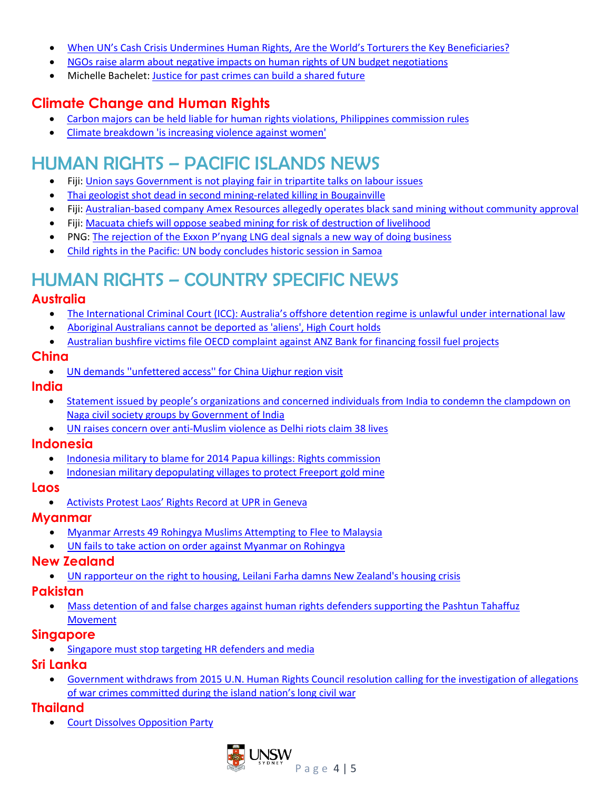- When UN's Cash [Crisis Undermines Human Rights, Are the Worl](http://www.ipsnews.net/2020/01/uns-cash-crisis-undermines-human-rights-worlds-torturers-key-beneficiaries/?utm_source=English+-+IPS+Weekly&utm_campaign=36032c067e-EMAIL_CAMPAIGN_2020_01_30_05_44_COPY_01&utm_medium=email&utm_term=0_eab01a56ae-36032c067e-5666865)d's Torturers the Key Beneficiaries?
- [NGOs raise alarm about negative impacts](https://www.ishr.ch/news/general-assembly-ngos-raise-alarm-about-negative-impacts-human-rights-un-budget-negotiations) on human rights of UN budget negotiations
- Michelle Bachelet[: Justice for past crimes can build a shared future](https://www.ohchr.org/EN/NewsEvents/Pages/DisplayNews.aspx?NewsID=25552&LangID=E)

## **Climate Change and Human Rights**

- [Carbon majors can be held liable for human rights violations, Philippines commission rules](https://www.nationofchange.org/2019/12/10/carbon-majors-can-be-held-liable-for-human-rights-violations-philippines-commission-rules/)
- [Climate breakdown 'is increasing violence against women'](https://www.theguardian.com/environment/2020/jan/29/climate-breakdown-is-increasing-violence-against-women)

## HUMAN RIGHTS – PACIFIC ISLANDS NEWS

- Fiji: Union says Government is not playing fair in [tripartite talks on labour issues](https://www.business-humanrights.org/en/fiji-union-says-govt-is-not-playing-fair-in-tripartite-talks-on-labour-issues)
- [Thai geologist shot dead in second mining-related killing in Bougainville](https://www.theguardian.com/world/2020/feb/25/thai-geologist-shot-dead-in-second-mining-related-killing-in-bougainville)
- Fiji[: Australian-based company Amex Resources allegedly operates black sand mining without community](https://www.business-humanrights.org/en/fiji-australian-based-company-amex-resources-allegedly-operates-black-sand-mining-without-community-approval) approval
- Fiji: [Macuata chiefs will oppose seabed mining for risk of destruction of livelihood](https://www.business-humanrights.org/en/fiji-macuata-chiefs-will-oppose-seabed-mining-for-risk-of-destruction-of-livelihood)
- PNG: The rejection of the Exxon [P'nyang LNG deal sign](https://www.lowyinstitute.org/the-interpreter/png-booting-exxon-gives-marape-boost-now)als a new way of doing business
- [Child rights in the Pacific: UN body concludes historic session in Samoa](https://www.ohchr.org/EN/NewsEvents/Pages/DisplayNews.aspx?NewsID=25667&LangID=E)

# HUMAN RIGHTS – COUNTRY SPECIFIC NEWS

### **Australia**

- The International Criminal Court (ICC): Australia's offs[hore detention regime is unlawful under international law](https://www.theguardian.com/australia-news/2020/feb/15/australias-offshore-detention-is-unlawful-says-international-criminal-court-prosecutor)
- [Aboriginal Australians cannot be deported as 'aliens', High](https://www.hrlc.org.au/human-rights-case-summaries/2020/2/21/aboriginal-australians-cannot-be-deported-as-aliens-high-court-holds) Court holds
- [Australian bushfire victims file OECD complaint against ANZ](https://www.business-humanrights.org/en/australia-bushfire-victims-file-oecd-complaint-against-anz-bank-for-financing-fossil-fuel-projects?mc_cid=60b982523f&mc_eid=ecee402c1b) Bank for financing fossil fuel projects

#### **China**

• [UN demands ''unfettered access'' for China Uighur region](https://www.outlookindia.com/newsscroll/un-demands-unfettered-access-for-china-uighur-region-visit/1745987) visit

#### **India**

- Statement issued by people's organizations [and concerned individuals from India to condemn the clampdown on](https://ilpscommission10.wordpress.com/2020/02/11/condemn-the-clampdown-on-naga-civil-society-groups-by-government-of-india/)  [Naga civil society groups](https://ilpscommission10.wordpress.com/2020/02/11/condemn-the-clampdown-on-naga-civil-society-groups-by-government-of-india/) by Government of India
- [UN raises concern over anti-Muslim violence as Delhi riots claim 38 lives](https://www.thenews.com.pk/latest/621149-un-chief-asks-india-to-stop-anti-muslim-violence-as-delhi-riots-claim-38-lives)

#### **Indonesia**

- [Indonesia military to blame for 2014 Papua killings: Rights commission](https://www.thejakartapost.com/news/2020/02/17/indonesia-military-to-blame-for-2014-papua-killings-rights-commission.html)
- Indonesian military depopulating [villages to protect Freeport gold mine](https://www.ulmwp.org/urgent-alert-indonesian-military-depopulating-villages-to-protect-freeport-gold-mine)

#### **Laos**

• Acti[vists Protest Laos' Rights Record at](https://www.rfa.org/english/news/laos/laos-upr-2020-01212020180024.html?utm_source=Mekong+Eye&utm_campaign=987e8a07fa-EMAIL_CAMPAIGN_2018_01_10_COPY_01&utm_medium=email&utm_term=0_5d4083d243-987e8a07fa-527579429) UPR in Geneva

#### **Myanmar**

- [Myanmar Arrests 49 Rohingya Muslims Attempting to Flee to Malaysia](https://www.rfa.org/english/news/myanmar/myanmar-arrests-49-rohingya-muslims-02202020161326.html?fbclid=IwAR1Fz3Cxw62aT_9yONsFkY9-V9ipAGdkhO2OKxv1O2MnnS3go007FB224_A)
- [UN fails to take action on order against Myanmar on Rohingya](https://www.aljazeera.com/news/2020/02/fails-action-order-myanmar-rohingyas-200205020402316.html)

#### **New Zealand**

• UN rapporteur [on the right to housing, Leilani Farha](https://www.theguardian.com/world/2020/feb/19/they-allowed-the-perfect-storm-un-expert-damns-new-zealands-housing-crisis) damns New Zealand's housing crisis

#### **Pakistan**

• [Mass detention of and false charges against human](https://www.frontlinedefenders.org/en/organization/pashtun-tahaffuz-movement-ptm) rights defenders supporting the Pashtun Tahaffuz **[Movement](https://www.frontlinedefenders.org/en/organization/pashtun-tahaffuz-movement-ptm)** 

### **Singapore**

• [Singapore must stop targeting HR defenders and media](https://www.malaysiakini.com/letters/509256)

### **Sri Lanka**

• Government withdraws [from 2015 U.N. Human Rights Council resolution calling](https://apnews.com/266f76dc01d4cc376bb3f3f356304a01) for the investigation of allegations of war crimes committed dur[ing the island nation's long civil war](https://apnews.com/266f76dc01d4cc376bb3f3f356304a01)

### **Thailand**

• [Court Dissolves Opposition Party](https://www.hrw.org/news/2020/02/22/thailand-court-dissolves-opposition-party)